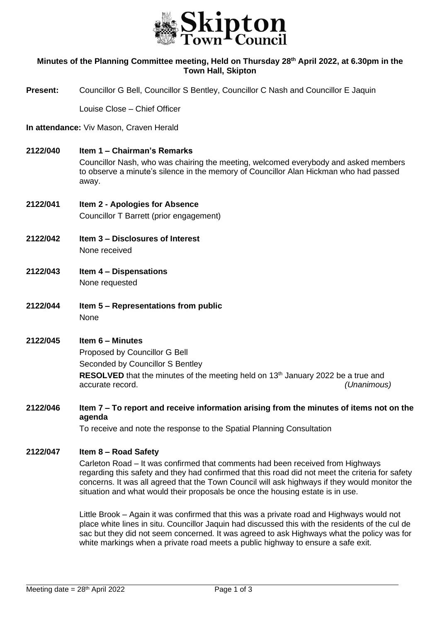

### **Minutes of the Planning Committee meeting, Held on Thursday 28th April 2022, at 6.30pm in the Town Hall, Skipton**

**Present:** Councillor G Bell, Councillor S Bentley, Councillor C Nash and Councillor E Jaquin

Louise Close – Chief Officer

#### **In attendance:** Viv Mason, Craven Herald

**2122/040 Item 1 – Chairman's Remarks**

Councillor Nash, who was chairing the meeting, welcomed everybody and asked members to observe a minute's silence in the memory of Councillor Alan Hickman who had passed away.

- **2122/041 Item 2 - Apologies for Absence** Councillor T Barrett (prior engagement)
- **2122/042 Item 3 – Disclosures of Interest** None received
- **2122/043 Item 4 – Dispensations** None requested
- **2122/044 Item 5 – Representations from public** None

# **2122/045 Item 6 – Minutes** Proposed by Councillor G Bell Seconded by Councillor S Bentley **RESOLVED** that the minutes of the meeting held on 13<sup>th</sup> January 2022 be a true and accurate record. *(Unanimous)*

**2122/046 Item 7 – To report and receive information arising from the minutes of items not on the agenda**

To receive and note the response to the Spatial Planning Consultation

#### **2122/047 Item 8 – Road Safety**

Carleton Road – It was confirmed that comments had been received from Highways regarding this safety and they had confirmed that this road did not meet the criteria for safety concerns. It was all agreed that the Town Council will ask highways if they would monitor the situation and what would their proposals be once the housing estate is in use.

Little Brook – Again it was confirmed that this was a private road and Highways would not place white lines in situ. Councillor Jaquin had discussed this with the residents of the cul de sac but they did not seem concerned. It was agreed to ask Highways what the policy was for white markings when a private road meets a public highway to ensure a safe exit.

j.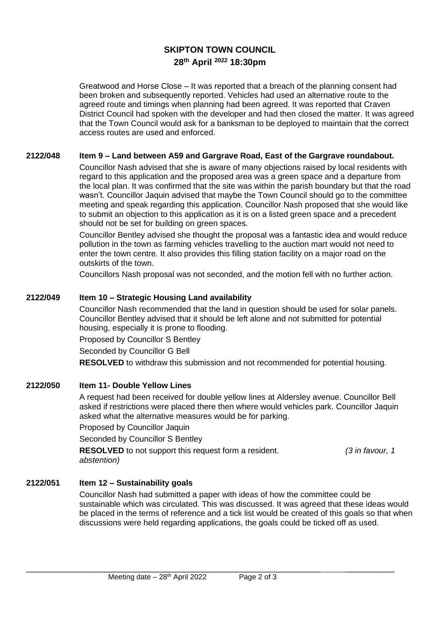# **SKIPTON TOWN COUNCIL 28th April <sup>2022</sup> 18:30pm**

Greatwood and Horse Close – It was reported that a breach of the planning consent had been broken and subsequently reported. Vehicles had used an alternative route to the agreed route and timings when planning had been agreed. It was reported that Craven District Council had spoken with the developer and had then closed the matter. It was agreed that the Town Council would ask for a banksman to be deployed to maintain that the correct access routes are used and enforced.

### **2122/048 Item 9 – Land between A59 and Gargrave Road, East of the Gargrave roundabout.**

Councillor Nash advised that she is aware of many objections raised by local residents with regard to this application and the proposed area was a green space and a departure from the local plan. It was confirmed that the site was within the parish boundary but that the road wasn't. Councillor Jaquin advised that maybe the Town Council should go to the committee meeting and speak regarding this application. Councillor Nash proposed that she would like to submit an objection to this application as it is on a listed green space and a precedent should not be set for building on green spaces.

Councillor Bentley advised she thought the proposal was a fantastic idea and would reduce pollution in the town as farming vehicles travelling to the auction mart would not need to enter the town centre. It also provides this filling station facility on a major road on the outskirts of the town.

Councillors Nash proposal was not seconded, and the motion fell with no further action.

### **2122/049 Item 10 – Strategic Housing Land availability**

Councillor Nash recommended that the land in question should be used for solar panels. Councillor Bentley advised that it should be left alone and not submitted for potential housing, especially it is prone to flooding.

Proposed by Councillor S Bentley

Seconded by Councillor G Bell

**RESOLVED** to withdraw this submission and not recommended for potential housing.

#### **2122/050 Item 11- Double Yellow Lines**

A request had been received for double yellow lines at Aldersley avenue. Councillor Bell asked if restrictions were placed there then where would vehicles park. Councillor Jaquin asked what the alternative measures would be for parking.

Proposed by Councillor Jaquin

Seconded by Councillor S Bentley

**RESOLVED** to not support this request form a resident. *(3 in favour, 1 abstention)*

### **2122/051 Item 12 – Sustainability goals**

Councillor Nash had submitted a paper with ideas of how the committee could be sustainable which was circulated. This was discussed. It was agreed that these ideas would be placed in the terms of reference and a tick list would be created of this goals so that when discussions were held regarding applications, the goals could be ticked off as used.

\_\_\_\_\_\_\_\_\_\_\_\_\_\_\_\_\_\_\_\_\_\_\_\_\_\_\_\_\_\_\_\_\_\_\_\_\_\_\_\_\_\_\_\_\_\_\_\_\_\_\_\_\_\_\_\_\_\_\_\_ \_\_\_\_\_\_\_\_\_\_